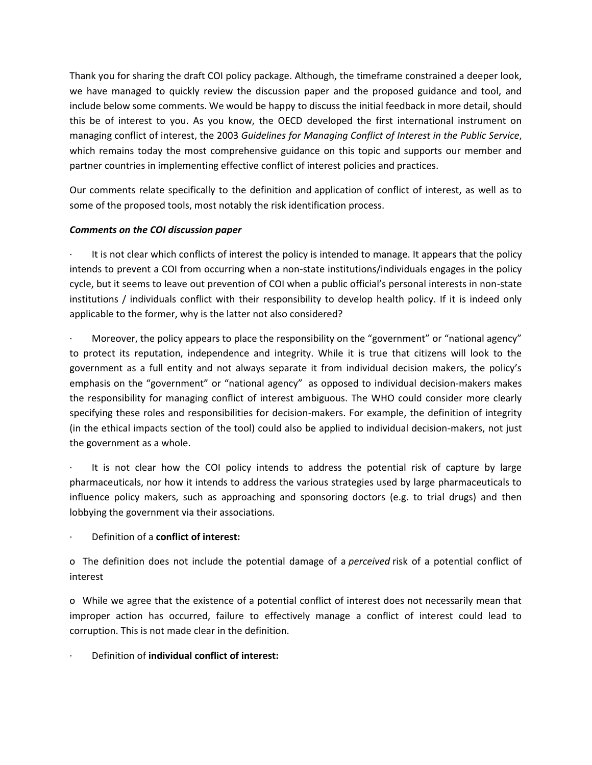Thank you for sharing the draft COI policy package. Although, the timeframe constrained a deeper look, we have managed to quickly review the discussion paper and the proposed guidance and tool, and include below some comments. We would be happy to discuss the initial feedback in more detail, should this be of interest to you. As you know, the OECD developed the first international instrument on managing conflict of interest, the 2003 *Guidelines for Managing Conflict of Interest in the Public Service*, which remains today the most comprehensive guidance on this topic and supports our member and partner countries in implementing effective conflict of interest policies and practices.

Our comments relate specifically to the definition and application of conflict of interest, as well as to some of the proposed tools, most notably the risk identification process.

## *Comments on the COI discussion paper*

It is not clear which conflicts of interest the policy is intended to manage. It appears that the policy intends to prevent a COI from occurring when a non-state institutions/individuals engages in the policy cycle, but it seems to leave out prevention of COI when a public official's personal interests in non-state institutions / individuals conflict with their responsibility to develop health policy. If it is indeed only applicable to the former, why is the latter not also considered?

· Moreover, the policy appears to place the responsibility on the "government" or "national agency" to protect its reputation, independence and integrity. While it is true that citizens will look to the government as a full entity and not always separate it from individual decision makers, the policy's emphasis on the "government" or "national agency" as opposed to individual decision-makers makes the responsibility for managing conflict of interest ambiguous. The WHO could consider more clearly specifying these roles and responsibilities for decision-makers. For example, the definition of integrity (in the ethical impacts section of the tool) could also be applied to individual decision-makers, not just the government as a whole.

It is not clear how the COI policy intends to address the potential risk of capture by large pharmaceuticals, nor how it intends to address the various strategies used by large pharmaceuticals to influence policy makers, such as approaching and sponsoring doctors (e.g. to trial drugs) and then lobbying the government via their associations.

## · Definition of a **conflict of interest:**

o The definition does not include the potential damage of a *perceived* risk of a potential conflict of interest

o While we agree that the existence of a potential conflict of interest does not necessarily mean that improper action has occurred, failure to effectively manage a conflict of interest could lead to corruption. This is not made clear in the definition.

## · Definition of **individual conflict of interest:**